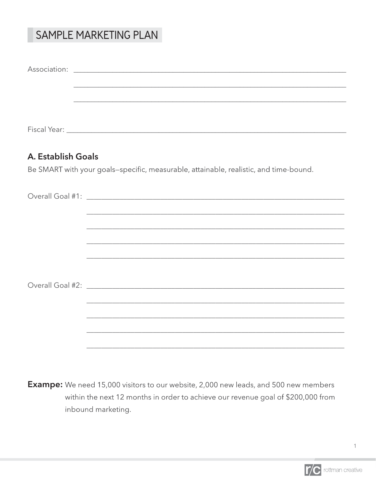# SAMPLE MARKETING PLAN

| A. Establish Goals |                                                                                                                                                                     |
|--------------------|---------------------------------------------------------------------------------------------------------------------------------------------------------------------|
|                    | Be SMART with your goals-specific, measurable, attainable, realistic, and time-bound.                                                                               |
|                    |                                                                                                                                                                     |
|                    |                                                                                                                                                                     |
|                    |                                                                                                                                                                     |
|                    | ,我们也不能在这里的时候,我们也不能会在这里,我们也不能会在这里,我们也不能会在这里,我们也不能会在这里的时候,我们也不能会在这里,我们也不能会不能会不能会。<br>第2012章 我们的时候,我们的时候,我们的时候,我们的时候,我们的时候,我们的时候,我们的时候,我们的时候,我们的时候,我们的时候,我们的时候,我们的时候,我 |
|                    | <u> 1980 - Johann Stoff, amerikansk politiker (d. 1980)</u>                                                                                                         |
|                    |                                                                                                                                                                     |
|                    | ,我们也不能在这里的时候,我们也不能会在这里,我们也不能会在这里,我们也不能会在这里,我们也不能会在这里的时候,我们也不能会在这里,我们也不能会不能会不能会。<br>第2012章 我们的时候,我们的时候,我们的时候,我们的时候,我们的时候,我们的时候,我们的时候,我们的时候,我们的时候,我们的时候,我们的时候,我们的时候,我 |
|                    | ,我们也不会有什么。""我们的人,我们也不会有什么?""我们的人,我们也不会有什么?""我们的人,我们也不会有什么?""我们的人,我们也不会有什么?""我们的人                                                                                    |
|                    |                                                                                                                                                                     |
|                    |                                                                                                                                                                     |
|                    |                                                                                                                                                                     |
|                    |                                                                                                                                                                     |
|                    |                                                                                                                                                                     |
|                    |                                                                                                                                                                     |
|                    |                                                                                                                                                                     |

**Exampe:** We need 15,000 visitors to our website, 2,000 new leads, and 500 new members within the next 12 months in order to achieve our revenue goal of \$200,000 from inbound marketing.

 $\ensuremath{\mathsf{1}}$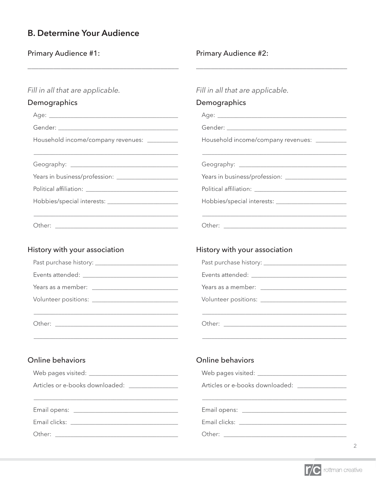## **B. Determine Your Audience**

Primary Audience #1:

### Primary Audience #2:

| Fill in all that are applicable.               | Fill in all that are applicable.                                                                                      |  |  |  |  |
|------------------------------------------------|-----------------------------------------------------------------------------------------------------------------------|--|--|--|--|
| Demographics                                   | Demographics                                                                                                          |  |  |  |  |
|                                                |                                                                                                                       |  |  |  |  |
|                                                |                                                                                                                       |  |  |  |  |
| Household income/company revenues: ________    | Household income/company revenues: __________                                                                         |  |  |  |  |
|                                                |                                                                                                                       |  |  |  |  |
|                                                |                                                                                                                       |  |  |  |  |
|                                                |                                                                                                                       |  |  |  |  |
|                                                |                                                                                                                       |  |  |  |  |
|                                                |                                                                                                                       |  |  |  |  |
| History with your association                  | History with your association                                                                                         |  |  |  |  |
|                                                |                                                                                                                       |  |  |  |  |
|                                                |                                                                                                                       |  |  |  |  |
|                                                |                                                                                                                       |  |  |  |  |
|                                                |                                                                                                                       |  |  |  |  |
|                                                | <u> 1989 - Johann Stoff, deutscher Stoff, der Stoff, der Stoff, der Stoff, der Stoff, der Stoff, der Stoff, der S</u> |  |  |  |  |
| Online behaviors                               | <b>Online behaviors</b>                                                                                               |  |  |  |  |
|                                                |                                                                                                                       |  |  |  |  |
| Articles or e-books downloaded: ______________ | Articles or e-books downloaded: ______________                                                                        |  |  |  |  |
|                                                |                                                                                                                       |  |  |  |  |
|                                                |                                                                                                                       |  |  |  |  |
|                                                |                                                                                                                       |  |  |  |  |



 $\overline{c}$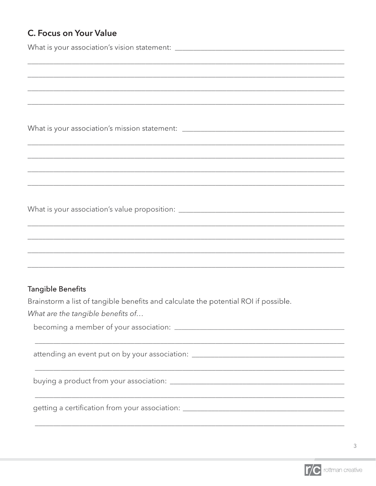# C. Focus on Your Value

| What is your association's vision statement: ___________________________________                                     |
|----------------------------------------------------------------------------------------------------------------------|
|                                                                                                                      |
|                                                                                                                      |
|                                                                                                                      |
| What is your association's mission statement: __________________________________                                     |
|                                                                                                                      |
|                                                                                                                      |
| <u> 1980 - Johann John Harry Harry Harry Harry Harry Harry Harry Harry Harry Harry Harry Harry Harry Harry Harry</u> |
|                                                                                                                      |
|                                                                                                                      |
|                                                                                                                      |
|                                                                                                                      |
|                                                                                                                      |
| <b>Tangible Benefits</b>                                                                                             |
| Brainstorm a list of tangible benefits and calculate the potential ROI if possible.                                  |
| What are the tangible benefits of                                                                                    |
|                                                                                                                      |
|                                                                                                                      |
|                                                                                                                      |
|                                                                                                                      |
|                                                                                                                      |

 $\mathfrak{Z}$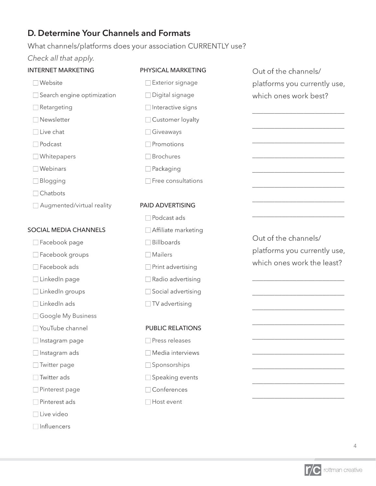### **D. Determine Your Channels and Formats**

What channels/platforms does your association CURRENTLY use?

*Check all that apply.*

#### INTERNET MARKETING

### PHYSICAL MARKETING  $\Box$  Exterior signage

□ Digital signage

 $\Box$  Interactive signs □ Customer loyalty

 Giveaways  $\Box$  Promotions Brochures

□ Packaging

- $\Box$  Website
- Search engine optimization
- Retargeting
- Newsletter
- $\Box$  Live chat
- $\Box$  Podcast
- Whitepapers
- $\Box$  Webinars
- □ Blogging
- $\Box$  Chatbots
- Augmented/virtual reality

#### SOCIAL MEDIA CHANNELS

- □ Facebook page
- Facebook groups
- □ Facebook ads
- $\Box$  LinkedIn page
- $\Box$  LinkedIn groups
- $\Box$  LinkedIn ads
- Google My Business
- □ YouTube channel
- □ Instagram page
- $\Box$  Instagram ads
- Twitter page
- □ Twitter ads
- Pinterest page
- □ Pinterest ads
- □ Live video
- $\Box$ Influencers

Out of the channels/ platforms you currently use, which ones work best?

\_\_\_\_\_\_\_\_\_\_\_\_\_\_\_\_\_\_\_\_\_\_\_\_\_

\_\_\_\_\_\_\_\_\_\_\_\_\_\_\_\_\_\_\_\_\_\_\_\_\_

\_\_\_\_\_\_\_\_\_\_\_\_\_\_\_\_\_\_\_\_\_\_\_\_\_

\_\_\_\_\_\_\_\_\_\_\_\_\_\_\_\_\_\_\_\_\_\_\_\_\_

\_\_\_\_\_\_\_\_\_\_\_\_\_\_\_\_\_\_\_\_\_\_\_\_\_

\_\_\_\_\_\_\_\_\_\_\_\_\_\_\_\_\_\_\_\_\_\_\_\_\_

\_\_\_\_\_\_\_\_\_\_\_\_\_\_\_\_\_\_\_\_\_\_\_\_\_

\_\_\_\_\_\_\_\_\_\_\_\_\_\_\_\_\_\_\_\_\_\_\_\_\_

#### PAID ADVERTISING

 $\Box$  Free consultations

 $\Box$  Podcast ads □ Affiliate marketing  $\Box$  Billboards Mailers  $\Box$  Print advertising  $\Box$  Radio advertising  $\Box$  Social advertising  $\Box$  TV advertising

#### PUBLIC RELATIONS

- Press releases Media interviews □ Sponsorships □ Speaking events  $\Box$  Conferences
- $\Box$  Host event

Out of the channels/ platforms you currently use, which ones work the least?

\_\_\_\_\_\_\_\_\_\_\_\_\_\_\_\_\_\_\_\_\_\_\_\_\_

\_\_\_\_\_\_\_\_\_\_\_\_\_\_\_\_\_\_\_\_\_\_\_\_\_

\_\_\_\_\_\_\_\_\_\_\_\_\_\_\_\_\_\_\_\_\_\_\_\_\_

\_\_\_\_\_\_\_\_\_\_\_\_\_\_\_\_\_\_\_\_\_\_\_\_\_

\_\_\_\_\_\_\_\_\_\_\_\_\_\_\_\_\_\_\_\_\_\_\_\_\_

\_\_\_\_\_\_\_\_\_\_\_\_\_\_\_\_\_\_\_\_\_\_\_\_\_

\_\_\_\_\_\_\_\_\_\_\_\_\_\_\_\_\_\_\_\_\_\_\_\_\_

\_\_\_\_\_\_\_\_\_\_\_\_\_\_\_\_\_\_\_\_\_\_\_\_\_

\_\_\_\_\_\_\_\_\_\_\_\_\_\_\_\_\_\_\_\_\_\_\_\_\_

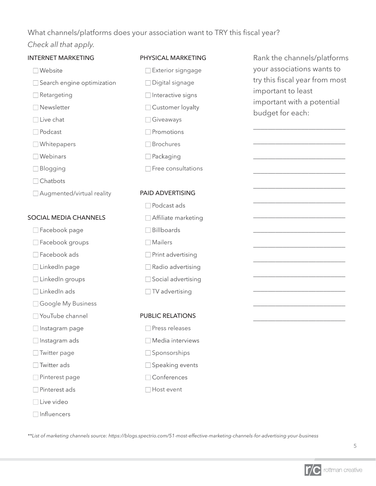### What channels/platforms does your association want to TRY this fiscal year?

### *Check all that apply.*

| <b>INTERNET MARKETING</b>    | PHYSICAL MARKETING       | Rank the channels/platforms    |  |  |  |  |
|------------------------------|--------------------------|--------------------------------|--|--|--|--|
| Website                      | Exterior signgage        | your associations wants to     |  |  |  |  |
| Search engine optimization   | $\Box$ Digital signage   | try this fiscal year from most |  |  |  |  |
| $\Box$ Retargeting           | □ Interactive signs      | important to least             |  |  |  |  |
| $\Box$ Newsletter            | □ Customer loyalty       | important with a potential     |  |  |  |  |
| $\Box$ Live chat             | Giveaways                | budget for each:               |  |  |  |  |
| $\Box$ Podcast               | Promotions               |                                |  |  |  |  |
| □ Whitepapers                | Brochures                |                                |  |  |  |  |
| $\Box$ Webinars              | $\Box$ Packaging         |                                |  |  |  |  |
| <b>Blogging</b>              | Free consultations       |                                |  |  |  |  |
| $\Box$ Chatbots              |                          |                                |  |  |  |  |
| Augmented/virtual reality    | PAID ADVERTISING         |                                |  |  |  |  |
|                              | Podcast ads              |                                |  |  |  |  |
| <b>SOCIAL MEDIA CHANNELS</b> | □ Affiliate marketing    |                                |  |  |  |  |
| Facebook page                | Billboards               |                                |  |  |  |  |
| □ Facebook groups            | Mailers                  |                                |  |  |  |  |
| Facebook ads                 | Print advertising        |                                |  |  |  |  |
| □ LinkedIn page              | $\Box$ Radio advertising |                                |  |  |  |  |
| □ LinkedIn groups            | □ Social advertising     |                                |  |  |  |  |
| $\Box$ LinkedIn ads          | $\Box$ TV advertising    |                                |  |  |  |  |
| Google My Business           |                          |                                |  |  |  |  |
| □ YouTube channel            | <b>PUBLIC RELATIONS</b>  |                                |  |  |  |  |
| □ Instagram page             | Press releases           |                                |  |  |  |  |
| $\Box$ Instagram ads         | Media interviews         |                                |  |  |  |  |
| $\Box$ Twitter page          | Sponsorships             |                                |  |  |  |  |
| Twitter ads                  | □ Speaking events        |                                |  |  |  |  |
| $\Box$ Pinterest page        | □ Conferences            |                                |  |  |  |  |
| Pinterest ads                | Host event               |                                |  |  |  |  |
| $\Box$ Live video            |                          |                                |  |  |  |  |
| Influencers                  |                          |                                |  |  |  |  |

\*\*List of marketing channels source: https://blogs.spectrio.com/51-most-effective-marketing-channels-for-advertising-your-business

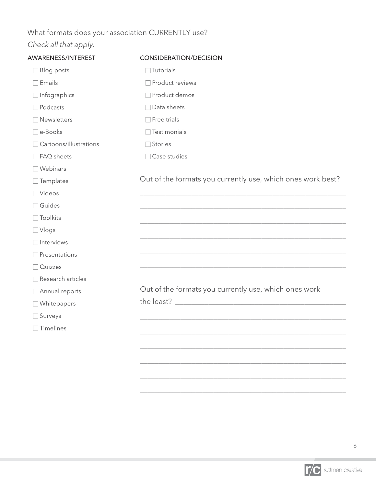## What formats does your association CURRENTLY use?

# *Check all that apply.*

| AWARENESS/INTEREST     | <b>CONSIDERATION/DECISION</b>                               |
|------------------------|-------------------------------------------------------------|
| <b>Blog posts</b>      | Tutorials                                                   |
| $\Box$ Emails          | Product reviews                                             |
| $\Box$ Infographics    | □ Product demos                                             |
| Podcasts               | Data sheets                                                 |
| Newsletters            | $\Box$ Free trials                                          |
| e-Books                | $\Box$ Testimonials                                         |
| Cartoons/illustrations | Stories                                                     |
| □ FAQ sheets           | Case studies                                                |
| $\Box$ Webinars        |                                                             |
| $\Box$ Templates       | Out of the formats you currently use, which ones work best? |
| $\Box$ Videos          |                                                             |
| Guides                 |                                                             |
| $\Box$ Toolkits        |                                                             |
| $\Box$ Vlogs           |                                                             |
| □ Interviews           |                                                             |
| Presentations          |                                                             |
| Quizzes                |                                                             |
| Research articles      |                                                             |
| Annual reports         | Out of the formats you currently use, which ones work       |
| Whitepapers            | the least? Letter and the least?                            |
| Surveys                |                                                             |
| $\Box$ Timelines       |                                                             |
|                        |                                                             |
|                        |                                                             |
|                        |                                                             |
|                        |                                                             |



\_\_\_\_\_\_\_\_\_\_\_\_\_\_\_\_\_\_\_\_\_\_\_\_\_\_\_\_\_\_\_\_\_\_\_\_\_\_\_\_\_\_\_\_\_\_\_\_\_\_\_\_\_\_\_\_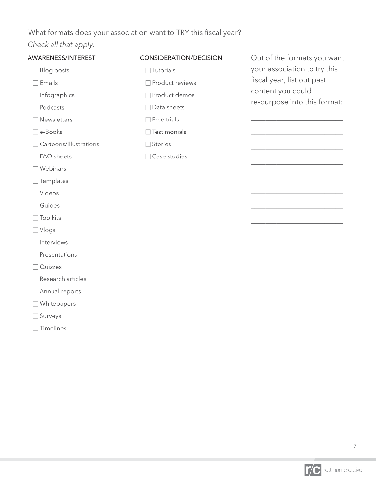## What formats does your association want to TRY this fiscal year?

## *Check all that apply.*

| AWARENESS/INTEREST     | <b>CONSIDERATION/DECISION</b> | Out of the formats you want  |
|------------------------|-------------------------------|------------------------------|
| <b>Blog posts</b>      | Tutorials                     | your association to try this |
| $\Box$ Emails          | Product reviews               | fiscal year, list out past   |
| Infographics           | Product demos                 | content you could            |
| Podcasts               | Data sheets                   | re-purpose into this format: |
| Newsletters            | Free trials                   |                              |
| e-Books                | Testimonials                  |                              |
| Cartoons/illustrations | Stories                       |                              |
| FAQ sheets             | Case studies                  |                              |
| Webinars               |                               |                              |
| $\Box$ Templates       |                               |                              |
| □ Videos               |                               |                              |
| $\Box$ Guides          |                               |                              |
| Toolkits               |                               |                              |
| $\Box$ Vlogs           |                               |                              |
| Interviews             |                               |                              |
| $\Box$ Presentations   |                               |                              |
| Quizzes                |                               |                              |
| Research articles      |                               |                              |
| Annual reports         |                               |                              |
| Whitepapers            |                               |                              |
| Surveys                |                               |                              |
| Timelines              |                               |                              |

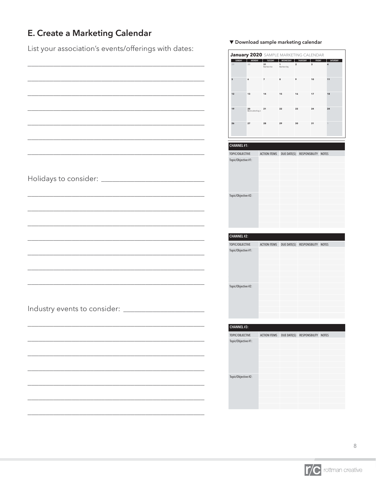# **E. Create a Marketing Calendar**

List your association's events/offerings with dates:

\_\_\_\_\_\_\_\_\_\_\_\_\_\_\_\_\_\_\_\_\_\_\_\_\_\_\_\_\_\_\_\_\_\_\_\_\_\_\_\_\_\_\_\_\_\_\_\_

 $\overline{\phantom{a}}$  topically  $\overline{\phantom{a}}$ 

\_\_\_\_\_\_\_\_\_\_\_\_\_\_\_\_\_\_\_\_\_\_\_\_\_\_\_\_\_\_\_\_\_\_\_\_\_\_\_\_\_\_\_\_\_\_\_\_

\_\_\_\_\_\_\_\_\_\_\_\_\_\_\_\_\_\_\_\_\_\_\_\_\_\_\_\_\_\_\_\_\_\_\_\_\_\_\_\_\_\_\_\_\_\_\_\_

\_\_\_\_\_\_\_\_\_\_\_\_\_\_\_\_\_\_\_\_\_\_\_\_\_\_\_\_\_\_\_\_\_\_\_\_\_\_\_\_\_\_\_\_\_\_\_\_

\_\_\_\_\_\_\_\_\_\_\_\_\_\_\_\_\_\_\_\_\_\_\_\_\_\_\_\_\_\_\_\_\_\_\_\_\_\_\_\_\_\_\_\_\_\_\_\_

\_\_\_\_\_\_\_\_\_\_\_\_\_\_\_\_\_\_\_\_\_\_\_\_\_\_\_\_\_\_\_\_\_\_\_\_\_\_\_\_\_\_\_\_\_\_\_\_

\_\_\_\_\_\_\_\_\_\_\_\_\_\_\_\_\_\_\_\_\_\_\_\_\_\_\_\_\_\_\_\_\_\_\_\_\_\_\_\_\_\_\_\_\_\_\_\_

|  | ▼ Download sample marketing calendar |  |
|--|--------------------------------------|--|

|                     |                              |    |                      | <b>January 2020</b> SAMPLE MARKETING CALENDAR |    |          |        |                 |  |
|---------------------|------------------------------|----|----------------------|-----------------------------------------------|----|----------|--------|-----------------|--|
| SUNDAY              | <b>MONDAY</b>                |    | TUESDAY              | WEDNESDAY                                     |    | THURSDAY | FRIDAY | <b>SATURDAY</b> |  |
| 29                  | 30                           |    | 31<br>New Year's Eve | 1<br>New Year's Day                           | 2  |          | 3      | 4               |  |
|                     |                              |    |                      |                                               |    |          |        |                 |  |
| 5                   | 6                            | 7  |                      | 8                                             | 9  |          | 10     | 11              |  |
|                     |                              |    |                      |                                               |    |          |        |                 |  |
| 12                  | 13                           | 14 |                      | 15                                            | 16 |          | 17     | 18              |  |
|                     |                              |    |                      |                                               |    |          |        |                 |  |
| 19                  | 20<br>Martin Luther King Jr. | 21 |                      | 22                                            | 23 |          | 24     | 24              |  |
|                     |                              |    |                      |                                               |    |          |        |                 |  |
| 26                  | 27                           | 28 |                      | 29                                            | 30 |          | 31     | $\,$ 1 $\,$     |  |
|                     |                              |    |                      |                                               |    |          |        |                 |  |
|                     |                              |    |                      |                                               |    |          |        |                 |  |
| <b>CHANNEL#1:</b>   |                              |    |                      |                                               |    |          |        |                 |  |
| TOPIC/OBJECTIVE     |                              |    | <b>ACTION ITEMS</b>  | DUE DATE(S) RESPONSBILITY NOTES               |    |          |        |                 |  |
| Topic/Objective #1: |                              |    |                      |                                               |    |          |        |                 |  |
|                     |                              |    |                      |                                               |    |          |        |                 |  |
|                     |                              |    |                      |                                               |    |          |        |                 |  |
|                     |                              |    |                      |                                               |    |          |        |                 |  |
|                     |                              |    |                      |                                               |    |          |        |                 |  |
| Topic/Objective #2: |                              |    |                      |                                               |    |          |        |                 |  |
|                     |                              |    |                      |                                               |    |          |        |                 |  |
|                     |                              |    |                      |                                               |    |          |        |                 |  |
|                     |                              |    |                      |                                               |    |          |        |                 |  |
|                     |                              |    |                      |                                               |    |          |        |                 |  |
|                     |                              |    |                      |                                               |    |          |        |                 |  |
| CHANNEL#2:          |                              |    |                      |                                               |    |          |        |                 |  |
|                     |                              |    |                      |                                               |    |          |        |                 |  |
|                     |                              |    |                      |                                               |    |          |        |                 |  |
| TOPIC/OBJECTIVE     |                              |    | <b>ACTION ITEMS</b>  | DUE DATE(S) RESPONSBILITY NOTES               |    |          |        |                 |  |
| Topic/Objective #1: |                              |    |                      |                                               |    |          |        |                 |  |
|                     |                              |    |                      |                                               |    |          |        |                 |  |
|                     |                              |    |                      |                                               |    |          |        |                 |  |
|                     |                              |    |                      |                                               |    |          |        |                 |  |
|                     |                              |    |                      |                                               |    |          |        |                 |  |
| Topic/Objective #2: |                              |    |                      |                                               |    |          |        |                 |  |
|                     |                              |    |                      |                                               |    |          |        |                 |  |
|                     |                              |    |                      |                                               |    |          |        |                 |  |
|                     |                              |    |                      |                                               |    |          |        |                 |  |
|                     |                              |    |                      |                                               |    |          |        |                 |  |
|                     |                              |    |                      |                                               |    |          |        |                 |  |
| CHANNEL#3:          |                              |    |                      |                                               |    |          |        |                 |  |
| TOPIC/OBJECTIVE     |                              |    | <b>ACTION ITEMS</b>  | DUE DATE(S) RESPONSBILITY NOTES               |    |          |        |                 |  |
| Topic/Objective #1: |                              |    |                      |                                               |    |          |        |                 |  |
|                     |                              |    |                      |                                               |    |          |        |                 |  |
|                     |                              |    |                      |                                               |    |          |        |                 |  |
|                     |                              |    |                      |                                               |    |          |        |                 |  |
|                     |                              |    |                      |                                               |    |          |        |                 |  |
| Topic/Objective #2: |                              |    |                      |                                               |    |          |        |                 |  |
|                     |                              |    |                      |                                               |    |          |        |                 |  |
|                     |                              |    |                      |                                               |    |          |        |                 |  |
|                     |                              |    |                      |                                               |    |          |        |                 |  |

| ,我们也不能在这里的时候,我们也不能在这里的时候,我们也不能会在这里的时候,我们也不能会在这里的时候,我们也不能会在这里的时候,我们也不能会在这里的时候,我们也 |
|----------------------------------------------------------------------------------|
|                                                                                  |
|                                                                                  |
|                                                                                  |
|                                                                                  |
|                                                                                  |
|                                                                                  |
|                                                                                  |
|                                                                                  |

\_\_\_\_\_\_\_\_\_\_\_\_\_\_\_\_\_\_\_\_\_\_\_\_\_\_\_\_\_\_\_\_\_\_\_\_\_\_\_\_\_\_\_\_\_\_\_\_

 $\overline{\phantom{a}}$ 

\_\_\_\_\_\_\_\_\_\_\_\_\_\_\_\_\_\_\_\_\_\_\_\_\_\_\_\_\_\_\_\_\_\_\_\_\_\_\_\_\_\_\_\_\_\_\_\_

\_\_\_\_\_\_\_\_\_\_\_\_\_\_\_\_\_\_\_\_\_\_\_\_\_\_\_\_\_\_\_\_\_\_\_\_\_\_\_\_\_\_\_\_\_\_\_\_

\_\_\_\_\_\_\_\_\_\_\_\_\_\_\_\_\_\_\_\_\_\_\_\_\_\_\_\_\_\_\_\_\_\_\_\_\_\_\_\_\_\_\_\_\_\_\_\_

\_\_\_\_\_\_\_\_\_\_\_\_\_\_\_\_\_\_\_\_\_\_\_\_\_\_\_\_\_\_\_\_\_\_\_\_\_\_\_\_\_\_\_\_\_\_\_\_